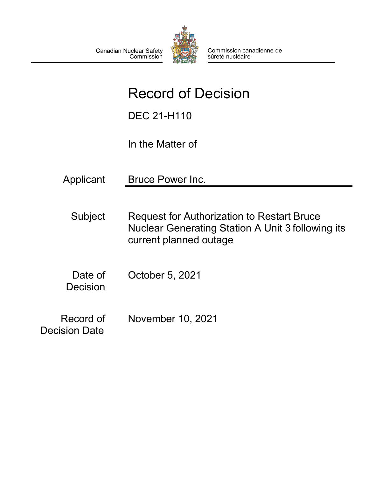

Commission canadienne de sûreté nucléaire

# Record of Decision

DEC 21-H110

In the Matter of

Applicant Bruce Power Inc. Subject Request for Authorization to Restart Bruce Nuclear Generating Station A Unit 3 following its current planned outage Date of Decision October 5, 2021 November 10, 2021

Record of Decision Date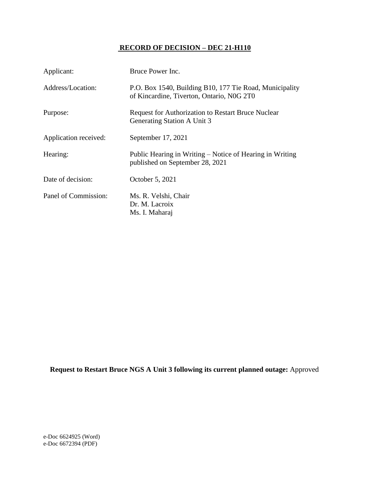## **RECORD OF DECISION – DEC 21-H110**

| Applicant:            | Bruce Power Inc.                                                                                     |
|-----------------------|------------------------------------------------------------------------------------------------------|
| Address/Location:     | P.O. Box 1540, Building B10, 177 Tie Road, Municipality<br>of Kincardine, Tiverton, Ontario, N0G 2T0 |
| Purpose:              | <b>Request for Authorization to Restart Bruce Nuclear</b><br>Generating Station A Unit 3             |
| Application received: | September 17, 2021                                                                                   |
| Hearing:              | Public Hearing in Writing – Notice of Hearing in Writing<br>published on September 28, 2021          |
| Date of decision:     | October 5, 2021                                                                                      |
| Panel of Commission:  | Ms. R. Velshi, Chair<br>Dr. M. Lacroix<br>Ms. I. Maharaj                                             |

**Request to Restart Bruce NGS A Unit 3 following its current planned outage:** Approved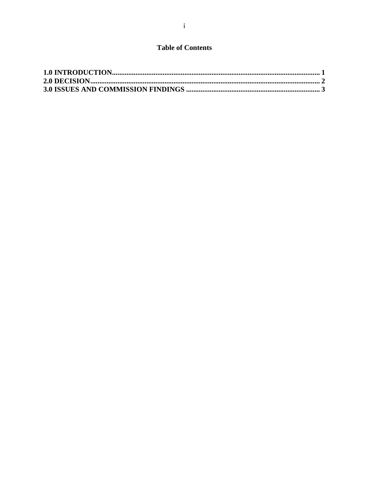# **Table of Contents**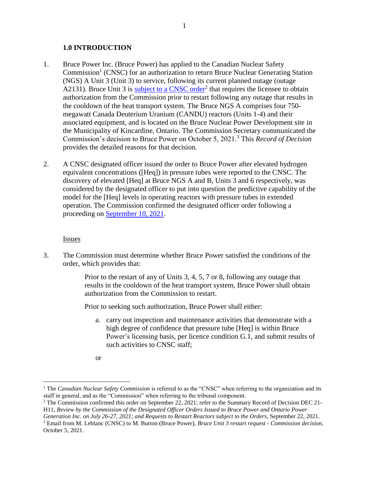#### <span id="page-3-0"></span>**1.0 INTRODUCTION**

- 1. Bruce Power Inc. (Bruce Power) has applied to the Canadian Nuclear Safety Commission<sup>1</sup> (CNSC) for an authorization to return Bruce Nuclear Generating Station (NGS) A Unit 3 (Unit 3) to service, following its current planned outage (outage A2131). Bruce Unit 3 is [subject to a CNSC order](https://www.nuclearsafety.gc.ca/eng/pdfs/Regulatory_Action/2021/20210726-designated-officer-order-to-Bruce-Power.pdf)<sup>2</sup> that requires the licensee to obtain authorization from the Commission prior to restart following any outage that results in the cooldown of the heat transport system. The Bruce NGS A comprises four 750 megawatt Canada Deuterium Uranium (CANDU) reactors (Units 1-4) and their associated equipment, and is located on the Bruce Nuclear Power Development site in the Municipality of Kincardine, Ontario. The Commission Secretary communicated the Commission's decision to Bruce Power on October 5, 2021.<sup>3</sup> This *Record of Decision* provides the detailed reasons for that decision.
- 2. A CNSC designated officer issued the order to Bruce Power after elevated hydrogen equivalent concentrations ([Heq]) in pressure tubes were reported to the CNSC. The discovery of elevated [Heq] at Bruce NGS A and B, Units 3 and 6 respectively, was considered by the designated officer to put into question the predictive capability of the model for the [Heq] levels in operating reactors with pressure tubes in extended operation. The Commission confirmed the designated officer order following a proceeding on [September 10, 2021.](http://www.nuclearsafety.gc.ca/eng/the-commission/pdf/SummaryDecision-September10-CMD21-H11-e.pdf)

#### Issues

3. The Commission must determine whether Bruce Power satisfied the conditions of the order, which provides that:

> Prior to the restart of any of Units 3, 4, 5, 7 or 8, following any outage that results in the cooldown of the heat transport system, Bruce Power shall obtain authorization from the Commission to restart.

Prior to seeking such authorization, Bruce Power shall either:

- a. carry out inspection and maintenance activities that demonstrate with a high degree of confidence that pressure tube [Heq] is within Bruce Power's licensing basis, per licence condition G.1, and submit results of such activities to CNSC staff;
- or

<sup>&</sup>lt;sup>1</sup> The *Canadian Nuclear Safety Commission* is referred to as the "CNSC" when referring to the organization and its staff in general, and as the "Commission" when referring to the tribunal component.

<sup>&</sup>lt;sup>2</sup> The Commission confirmed this order on September 22, 2021; refer to the Summary Record of Decision DEC 21-H11, *Review by the Commission of the Designated Officer Orders Issued to Bruce Power and Ontario Power*

*Generation Inc. on July 26-27, 2021; and Requests to Restart Reactors subject to the Orders*, September 22, 2021.

<sup>3</sup> Email from M. Leblanc (CNSC) to M. Burton (Bruce Power), *Bruce Unit 3 restart request - Commission decision*, October 5, 2021.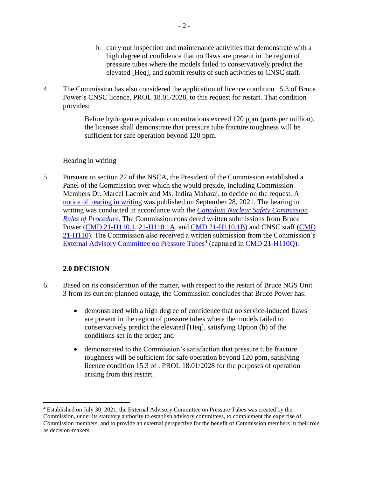- b. carry out inspection and maintenance activities that demonstrate with a high degree of confidence that no flaws are present in the region of pressure tubes where the models failed to conservatively predict the elevated [Heq], and submit results of such activities to CNSC staff.
- 4. The Commission has also considered the application of licence condition 15.3 of Bruce Power's CNSC licence, PROL 18.01/2028, to this request for restart. That condition provides:

Before hydrogen equivalent concentrations exceed 120 ppm (parts per million), the licensee shall demonstrate that pressure tube fracture toughness will be sufficient for safe operation beyond 120 ppm.

#### Hearing in writing

5. Pursuant to section 22 of the NSCA, the President of the Commission established a Panel of the Commission over which she would preside, including Commission Members Dr. Marcel Lacroix and Ms. Indira Maharaj, to decide on the request. A [notice of hearing in writing](http://www.nuclearsafety.gc.ca/eng/the-commission/pdf/Notice-BrucePower-Restart-CMD21-H110-e.pdf) was published on September 28, 2021. The hearing in writing was conducted in accordance with the *[Canadian Nuclear Safety Commission](https://laws-lois.justice.gc.ca/eng/regulations/sor-2000-211/page-1.html) [Rules of Procedure](https://laws-lois.justice.gc.ca/eng/regulations/sor-2000-211/page-1.html)*. The Commission considered written submissions from Bruce Power (CMD [21-H110.1,](https://www.nuclearsafety.gc.ca/eng/the-commission/hearings/cmd/pdf/CMD21/CMD21-H110-1.pdf) [21-H110.1A,](https://www.nuclearsafety.gc.ca/eng/the-commission/hearings/cmd/pdf/CMD21/CMD21-H110-1A.pdf) and CMD [21-H110.1B\)](https://www.nuclearsafety.gc.ca/eng/the-commission/hearings/cmd/pdf/CMD21/CMD21-H110-1B.pdf) and CNSC staff [\(CMD](https://www.nuclearsafety.gc.ca/eng/the-commission/hearings/cmd/pdf/CMD21/CMD21-H110.pdf) [21-H110\)](https://www.nuclearsafety.gc.ca/eng/the-commission/hearings/cmd/pdf/CMD21/CMD21-H110.pdf). The Commission also received a written submission from the Commission's [External Advisory Committee on Pressure Tubes](http://www.nuclearsafety.gc.ca/eng/the-commission/external-advisory-committee-pressure-tubes.cfm)<sup>4</sup> (captured in [CMD 21-H110Q\)](https://www.nuclearsafety.gc.ca/eng/the-commission/hearings/cmd/pdf/CMD21/CMD21-H110Q.pdf).

#### <span id="page-4-0"></span>**2.0 DECISION**

- 6. Based on its consideration of the matter, with respect to the restart of Bruce NGS Unit 3 from its current planned outage, the Commission concludes that Bruce Power has:
	- demonstrated with a high degree of confidence that no service-induced flaws are present in the region of pressure tubes where the models failed to conservatively predict the elevated [Heq], satisfying Option (b) of the conditions set in the order; and
	- demonstrated to the Commission's satisfaction that pressure tube fracture toughness will be sufficient for safe operation beyond 120 ppm, satisfying licence condition 15.3 of . PROL 18.01/2028 for the purposes of operation arising from this restart.

<sup>4</sup> Established on July 30, 2021, the External Advisory Committee on Pressure Tubes was created by the Commission, under its statutory authority to establish advisory committees, to complement the expertise of Commission members, and to provide an external perspective for the benefit of Commission members in their role as decision-makers.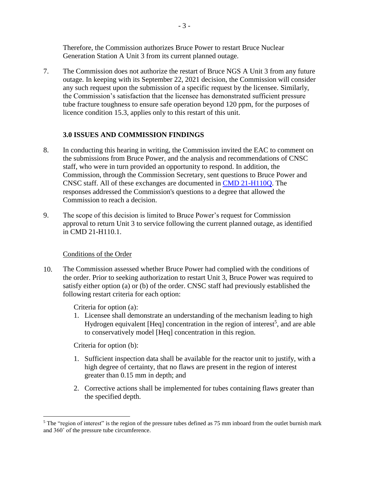Therefore, the Commission authorizes Bruce Power to restart Bruce Nuclear Generation Station A Unit 3 from its current planned outage.

7. The Commission does not authorize the restart of Bruce NGS A Unit 3 from any future outage. In keeping with its September 22, 2021 decision, the Commission will consider any such request upon the submission of a specific request by the licensee. Similarly, the Commission's satisfaction that the licensee has demonstrated sufficient pressure tube fracture toughness to ensure safe operation beyond 120 ppm, for the purposes of licence condition 15.3, applies only to this restart of this unit.

## <span id="page-5-0"></span>**3.0 ISSUES AND COMMISSION FINDINGS**

- 8. In conducting this hearing in writing, the Commission invited the EAC to comment on the submissions from Bruce Power, and the analysis and recommendations of CNSC staff, who were in turn provided an opportunity to respond. In addition, the Commission, through the Commission Secretary, sent questions to Bruce Power and CNSC staff. All of these exchanges are documented in [CMD 21-H110Q.](https://www.nuclearsafety.gc.ca/eng/the-commission/hearings/cmd/pdf/CMD21/CMD21-H110Q.pdf) The responses addressed the Commission's questions to a degree that allowed the Commission to reach a decision.
- 9. The scope of this decision is limited to Bruce Power's request for Commission approval to return Unit 3 to service following the current planned outage, as identified in CMD 21-H110.1.

#### Conditions of the Order

10. The Commission assessed whether Bruce Power had complied with the conditions of the order. Prior to seeking authorization to restart Unit 3, Bruce Power was required to satisfy either option (a) or (b) of the order. CNSC staff had previously established the following restart criteria for each option:

Criteria for option (a):

1. Licensee shall demonstrate an understanding of the mechanism leading to high Hydrogen equivalent [Heq] concentration in the region of interest<sup>5</sup>, and are able to conservatively model [Heq] concentration in this region.

Criteria for option (b):

- 1. Sufficient inspection data shall be available for the reactor unit to justify, with a high degree of certainty, that no flaws are present in the region of interest greater than 0.15 mm in depth; and
- 2. Corrective actions shall be implemented for tubes containing flaws greater than the specified depth.

<sup>&</sup>lt;sup>5</sup> The "region of interest" is the region of the pressure tubes defined as 75 mm inboard from the outlet burnish mark and 360˚ of the pressure tube circumference.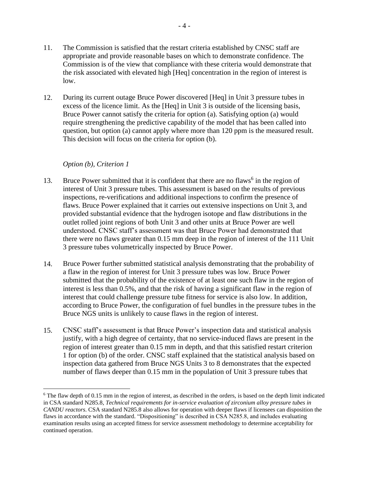- 11. The Commission is satisfied that the restart criteria established by CNSC staff are appropriate and provide reasonable bases on which to demonstrate confidence. The Commission is of the view that compliance with these criteria would demonstrate that the risk associated with elevated high [Heq] concentration in the region of interest is low.
- 12. During its current outage Bruce Power discovered [Heq] in Unit 3 pressure tubes in excess of the licence limit. As the [Heq] in Unit 3 is outside of the licensing basis, Bruce Power cannot satisfy the criteria for option (a). Satisfying option (a) would require strengthening the predictive capability of the model that has been called into question, but option (a) cannot apply where more than 120 ppm is the measured result. This decision will focus on the criteria for option (b).

### *Option (b), Criterion 1*

- 13. Bruce Power submitted that it is confident that there are no flaws<sup>6</sup> in the region of interest of Unit 3 pressure tubes. This assessment is based on the results of previous inspections, re-verifications and additional inspections to confirm the presence of flaws. Bruce Power explained that it carries out extensive inspections on Unit 3, and provided substantial evidence that the hydrogen isotope and flaw distributions in the outlet rolled joint regions of both Unit 3 and other units at Bruce Power are well understood. CNSC staff's assessment was that Bruce Power had demonstrated that there were no flaws greater than 0.15 mm deep in the region of interest of the 111 Unit 3 pressure tubes volumetrically inspected by Bruce Power.
- 14. Bruce Power further submitted statistical analysis demonstrating that the probability of a flaw in the region of interest for Unit 3 pressure tubes was low. Bruce Power submitted that the probability of the existence of at least one such flaw in the region of interest is less than 0.5%, and that the risk of having a significant flaw in the region of interest that could challenge pressure tube fitness for service is also low. In addition, according to Bruce Power, the configuration of fuel bundles in the pressure tubes in the Bruce NGS units is unlikely to cause flaws in the region of interest.
- 15. CNSC staff's assessment is that Bruce Power's inspection data and statistical analysis justify, with a high degree of certainty, that no service-induced flaws are present in the region of interest greater than 0.15 mm in depth, and that this satisfied restart criterion 1 for option (b) of the order. CNSC staff explained that the statistical analysis based on inspection data gathered from Bruce NGS Units 3 to 8 demonstrates that the expected number of flaws deeper than 0.15 mm in the population of Unit 3 pressure tubes that

 $6$  The flaw depth of 0.15 mm in the region of interest, as described in the orders, is based on the depth limit indicated in CSA standard N285.8, *Technical requirements for in-service evaluation of zirconium alloy pressure tubes in CANDU reactors*. CSA standard N285.8 also allows for operation with deeper flaws if licensees can disposition the flaws in accordance with the standard. "Dispositioning" is described in CSA N285.8, and includes evaluating examination results using an accepted fitness for service assessment methodology to determine acceptability for continued operation.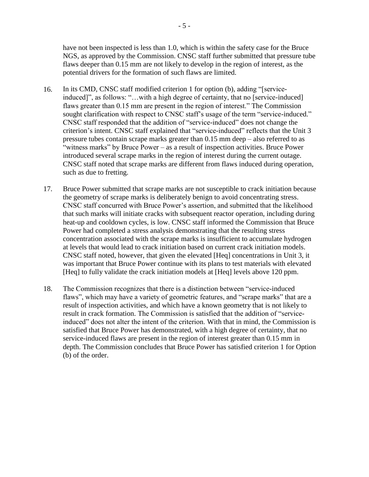have not been inspected is less than 1.0, which is within the safety case for the Bruce NGS, as approved by the Commission. CNSC staff further submitted that pressure tube flaws deeper than 0.15 mm are not likely to develop in the region of interest, as the potential drivers for the formation of such flaws are limited.

- 16. In its CMD, CNSC staff modified criterion 1 for option (b), adding "[serviceinduced]", as follows: "…with a high degree of certainty, that no [service-induced] flaws greater than 0.15 mm are present in the region of interest." The Commission sought clarification with respect to CNSC staff's usage of the term "service-induced." CNSC staff responded that the addition of "service-induced" does not change the criterion's intent. CNSC staff explained that "service-induced" reflects that the Unit 3 pressure tubes contain scrape marks greater than 0.15 mm deep – also referred to as "witness marks" by Bruce Power – as a result of inspection activities. Bruce Power introduced several scrape marks in the region of interest during the current outage. CNSC staff noted that scrape marks are different from flaws induced during operation, such as due to fretting.
- 17. Bruce Power submitted that scrape marks are not susceptible to crack initiation because the geometry of scrape marks is deliberately benign to avoid concentrating stress. CNSC staff concurred with Bruce Power's assertion, and submitted that the likelihood that such marks will initiate cracks with subsequent reactor operation, including during heat-up and cooldown cycles, is low. CNSC staff informed the Commission that Bruce Power had completed a stress analysis demonstrating that the resulting stress concentration associated with the scrape marks is insufficient to accumulate hydrogen at levels that would lead to crack initiation based on current crack initiation models. CNSC staff noted, however, that given the elevated [Heq] concentrations in Unit 3, it was important that Bruce Power continue with its plans to test materials with elevated [Heq] to fully validate the crack initiation models at [Heq] levels above 120 ppm.
- 18. The Commission recognizes that there is a distinction between "service-induced flaws", which may have a variety of geometric features, and "scrape marks" that are a result of inspection activities, and which have a known geometry that is not likely to result in crack formation. The Commission is satisfied that the addition of "serviceinduced" does not alter the intent of the criterion. With that in mind, the Commission is satisfied that Bruce Power has demonstrated, with a high degree of certainty, that no service-induced flaws are present in the region of interest greater than 0.15 mm in depth. The Commission concludes that Bruce Power has satisfied criterion 1 for Option (b) of the order.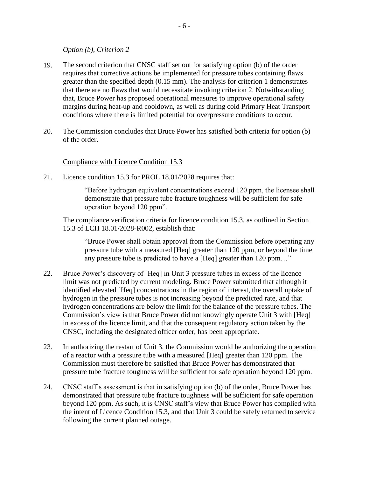*Option (b), Criterion 2*

- 19. The second criterion that CNSC staff set out for satisfying option (b) of the order requires that corrective actions be implemented for pressure tubes containing flaws greater than the specified depth (0.15 mm). The analysis for criterion 1 demonstrates that there are no flaws that would necessitate invoking criterion 2. Notwithstanding that, Bruce Power has proposed operational measures to improve operational safety margins during heat-up and cooldown, as well as during cold Primary Heat Transport conditions where there is limited potential for overpressure conditions to occur.
- 20. The Commission concludes that Bruce Power has satisfied both criteria for option (b) of the order.

Compliance with Licence Condition 15.3

21. Licence condition 15.3 for PROL 18.01/2028 requires that:

"Before hydrogen equivalent concentrations exceed 120 ppm, the licensee shall demonstrate that pressure tube fracture toughness will be sufficient for safe operation beyond 120 ppm".

The compliance verification criteria for licence condition 15.3, as outlined in Section 15.3 of LCH 18.01/2028-R002, establish that:

"Bruce Power shall obtain approval from the Commission before operating any pressure tube with a measured [Heq] greater than 120 ppm, or beyond the time any pressure tube is predicted to have a [Heq] greater than 120 ppm…"

- 22. Bruce Power's discovery of [Heq] in Unit 3 pressure tubes in excess of the licence limit was not predicted by current modeling. Bruce Power submitted that although it identified elevated [Heq] concentrations in the region of interest, the overall uptake of hydrogen in the pressure tubes is not increasing beyond the predicted rate, and that hydrogen concentrations are below the limit for the balance of the pressure tubes. The Commission's view is that Bruce Power did not knowingly operate Unit 3 with [Heq] in excess of the licence limit, and that the consequent regulatory action taken by the CNSC, including the designated officer order, has been appropriate.
- 23. In authorizing the restart of Unit 3, the Commission would be authorizing the operation of a reactor with a pressure tube with a measured [Heq] greater than 120 ppm. The Commission must therefore be satisfied that Bruce Power has demonstrated that pressure tube fracture toughness will be sufficient for safe operation beyond 120 ppm.
- 24. CNSC staff's assessment is that in satisfying option (b) of the order, Bruce Power has demonstrated that pressure tube fracture toughness will be sufficient for safe operation beyond 120 ppm. As such, it is CNSC staff's view that Bruce Power has complied with the intent of Licence Condition 15.3, and that Unit 3 could be safely returned to service following the current planned outage.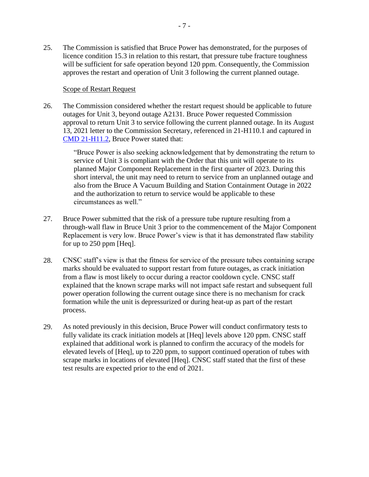25. The Commission is satisfied that Bruce Power has demonstrated, for the purposes of licence condition 15.3 in relation to this restart, that pressure tube fracture toughness will be sufficient for safe operation beyond 120 ppm. Consequently, the Commission approves the restart and operation of Unit 3 following the current planned outage.

#### Scope of Restart Request

26. The Commission considered whether the restart request should be applicable to future outages for Unit 3, beyond outage A2131. Bruce Power requested Commission approval to return Unit 3 to service following the current planned outage. In its August 13, 2021 letter to the Commission Secretary, referenced in 21-H110.1 and captured in [CMD 21-H11.2,](https://www.nuclearsafety.gc.ca/eng/the-commission/hearings/cmd/pdf/CMD21/CMD21-H11-2.pdf) Bruce Power stated that:

> "Bruce Power is also seeking acknowledgement that by demonstrating the return to service of Unit 3 is compliant with the Order that this unit will operate to its planned Major Component Replacement in the first quarter of 2023. During this short interval, the unit may need to return to service from an unplanned outage and also from the Bruce A Vacuum Building and Station Containment Outage in 2022 and the authorization to return to service would be applicable to these circumstances as well."

- 27. Bruce Power submitted that the risk of a pressure tube rupture resulting from a through-wall flaw in Bruce Unit 3 prior to the commencement of the Major Component Replacement is very low. Bruce Power's view is that it has demonstrated flaw stability for up to 250 ppm [Heq].
- 28. CNSC staff's view is that the fitness for service of the pressure tubes containing scrape marks should be evaluated to support restart from future outages, as crack initiation from a flaw is most likely to occur during a reactor cooldown cycle. CNSC staff explained that the known scrape marks will not impact safe restart and subsequent full power operation following the current outage since there is no mechanism for crack formation while the unit is depressurized or during heat-up as part of the restart process.
- 29. As noted previously in this decision, Bruce Power will conduct confirmatory tests to fully validate its crack initiation models at [Heq] levels above 120 ppm. CNSC staff explained that additional work is planned to confirm the accuracy of the models for elevated levels of [Heq], up to 220 ppm, to support continued operation of tubes with scrape marks in locations of elevated [Heq]. CNSC staff stated that the first of these test results are expected prior to the end of 2021.